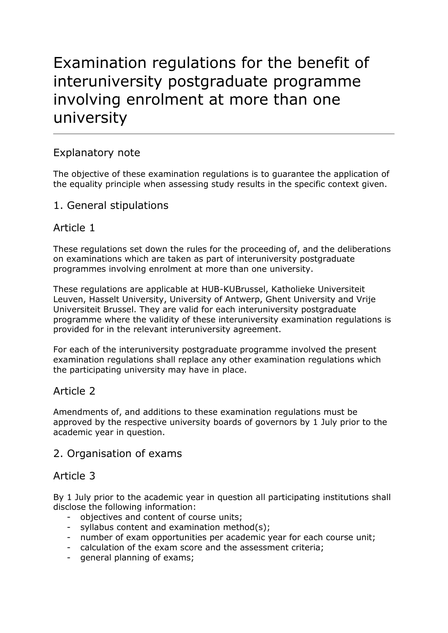# Examination regulations for the benefit of interuniversity postgraduate programme involving enrolment at more than one university

# Explanatory note

The objective of these examination regulations is to guarantee the application of the equality principle when assessing study results in the specific context given.

# 1. General stipulations

# Article 1

These regulations set down the rules for the proceeding of, and the deliberations on examinations which are taken as part of interuniversity postgraduate programmes involving enrolment at more than one university.

These regulations are applicable at HUB-KUBrussel, Katholieke Universiteit Leuven, Hasselt University, University of Antwerp, Ghent University and Vrije Universiteit Brussel. They are valid for each interuniversity postgraduate programme where the validity of these interuniversity examination regulations is provided for in the relevant interuniversity agreement.

For each of the interuniversity postgraduate programme involved the present examination regulations shall replace any other examination regulations which the participating university may have in place.

# Article 2

Amendments of, and additions to these examination regulations must be approved by the respective university boards of governors by 1 July prior to the academic year in question.

# 2. Organisation of exams

# Article 3

By 1 July prior to the academic year in question all participating institutions shall disclose the following information:

- objectives and content of course units;
- syllabus content and examination method(s);
- number of exam opportunities per academic year for each course unit;
- calculation of the exam score and the assessment criteria;
- general planning of exams;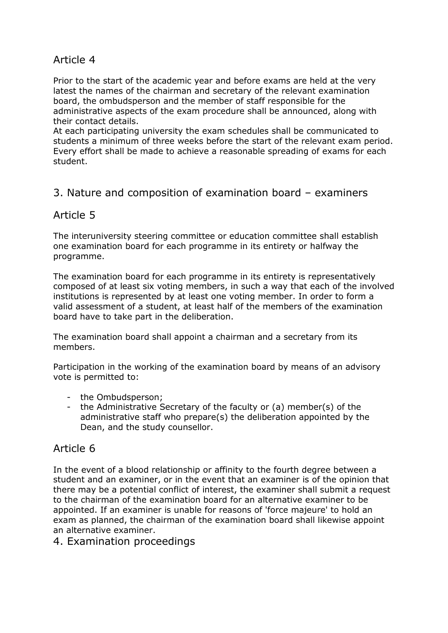Prior to the start of the academic year and before exams are held at the very latest the names of the chairman and secretary of the relevant examination board, the ombudsperson and the member of staff responsible for the administrative aspects of the exam procedure shall be announced, along with their contact details.

At each participating university the exam schedules shall be communicated to students a minimum of three weeks before the start of the relevant exam period. Every effort shall be made to achieve a reasonable spreading of exams for each student.

# 3. Nature and composition of examination board – examiners

# Article 5

The interuniversity steering committee or education committee shall establish one examination board for each programme in its entirety or halfway the programme.

The examination board for each programme in its entirety is representatively composed of at least six voting members, in such a way that each of the involved institutions is represented by at least one voting member. In order to form a valid assessment of a student, at least half of the members of the examination board have to take part in the deliberation.

The examination board shall appoint a chairman and a secretary from its members.

Participation in the working of the examination board by means of an advisory vote is permitted to:

- the Ombudsperson;
- the Administrative Secretary of the faculty or (a) member(s) of the administrative staff who prepare(s) the deliberation appointed by the Dean, and the study counsellor.

# Article 6

In the event of a blood relationship or affinity to the fourth degree between a student and an examiner, or in the event that an examiner is of the opinion that there may be a potential conflict of interest, the examiner shall submit a request to the chairman of the examination board for an alternative examiner to be appointed. If an examiner is unable for reasons of 'force majeure' to hold an exam as planned, the chairman of the examination board shall likewise appoint an alternative examiner.

## 4. Examination proceedings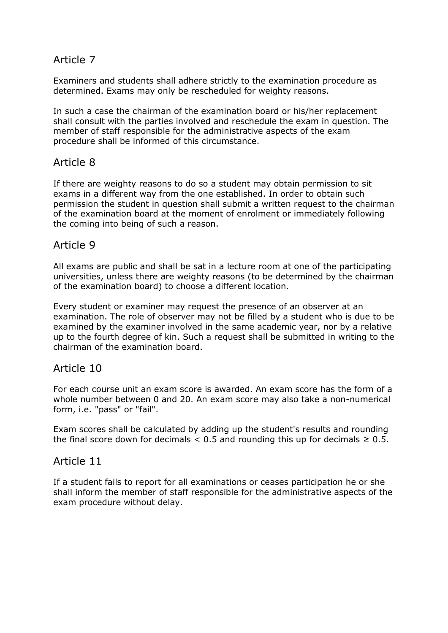Examiners and students shall adhere strictly to the examination procedure as determined. Exams may only be rescheduled for weighty reasons.

In such a case the chairman of the examination board or his/her replacement shall consult with the parties involved and reschedule the exam in question. The member of staff responsible for the administrative aspects of the exam procedure shall be informed of this circumstance.

# Article 8

If there are weighty reasons to do so a student may obtain permission to sit exams in a different way from the one established. In order to obtain such permission the student in question shall submit a written request to the chairman of the examination board at the moment of enrolment or immediately following the coming into being of such a reason.

## Article 9

All exams are public and shall be sat in a lecture room at one of the participating universities, unless there are weighty reasons (to be determined by the chairman of the examination board) to choose a different location.

Every student or examiner may request the presence of an observer at an examination. The role of observer may not be filled by a student who is due to be examined by the examiner involved in the same academic year, nor by a relative up to the fourth degree of kin. Such a request shall be submitted in writing to the chairman of the examination board.

## Article 10

For each course unit an exam score is awarded. An exam score has the form of a whole number between 0 and 20. An exam score may also take a non-numerical form, i.e. "pass" or "fail".

Exam scores shall be calculated by adding up the student's results and rounding the final score down for decimals  $< 0.5$  and rounding this up for decimals  $\geq 0.5$ .

## Article 11

If a student fails to report for all examinations or ceases participation he or she shall inform the member of staff responsible for the administrative aspects of the exam procedure without delay.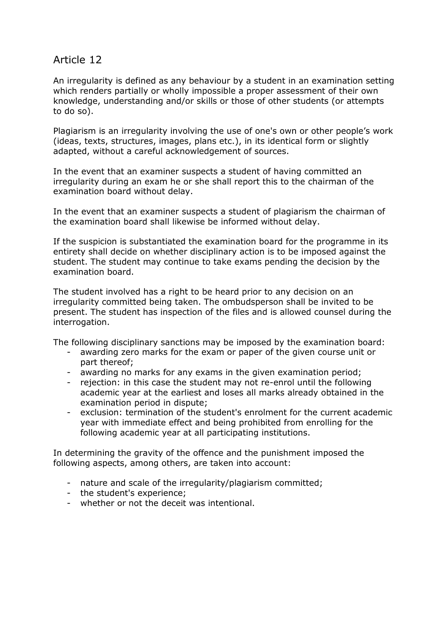An irregularity is defined as any behaviour by a student in an examination setting which renders partially or wholly impossible a proper assessment of their own knowledge, understanding and/or skills or those of other students (or attempts to do so).

Plagiarism is an irregularity involving the use of one's own or other people's work (ideas, texts, structures, images, plans etc.), in its identical form or slightly adapted, without a careful acknowledgement of sources.

In the event that an examiner suspects a student of having committed an irregularity during an exam he or she shall report this to the chairman of the examination board without delay.

In the event that an examiner suspects a student of plagiarism the chairman of the examination board shall likewise be informed without delay.

If the suspicion is substantiated the examination board for the programme in its entirety shall decide on whether disciplinary action is to be imposed against the student. The student may continue to take exams pending the decision by the examination board.

The student involved has a right to be heard prior to any decision on an irregularity committed being taken. The ombudsperson shall be invited to be present. The student has inspection of the files and is allowed counsel during the interrogation.

The following disciplinary sanctions may be imposed by the examination board:

- awarding zero marks for the exam or paper of the given course unit or part thereof;
- awarding no marks for any exams in the given examination period;
- rejection: in this case the student may not re-enrol until the following academic year at the earliest and loses all marks already obtained in the examination period in dispute;
- exclusion: termination of the student's enrolment for the current academic year with immediate effect and being prohibited from enrolling for the following academic year at all participating institutions.

In determining the gravity of the offence and the punishment imposed the following aspects, among others, are taken into account:

- nature and scale of the irregularity/plagiarism committed;
- the student's experience;
- whether or not the deceit was intentional.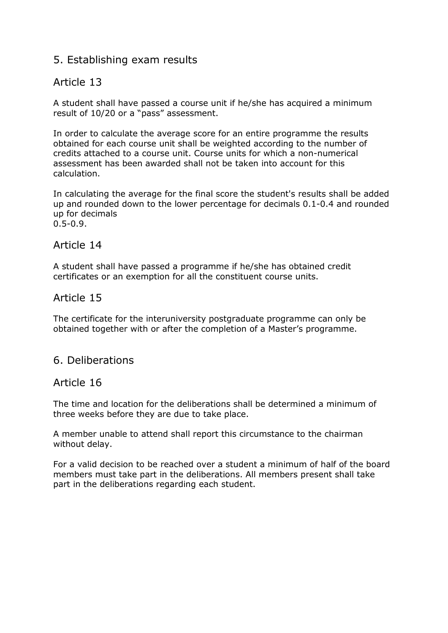# 5. Establishing exam results

## Article 13

A student shall have passed a course unit if he/she has acquired a minimum result of 10/20 or a "pass" assessment.

In order to calculate the average score for an entire programme the results obtained for each course unit shall be weighted according to the number of credits attached to a course unit. Course units for which a non-numerical assessment has been awarded shall not be taken into account for this calculation.

In calculating the average for the final score the student's results shall be added up and rounded down to the lower percentage for decimals 0.1-0.4 and rounded up for decimals 0.5-0.9.

#### Article 14

A student shall have passed a programme if he/she has obtained credit certificates or an exemption for all the constituent course units.

## Article 15

The certificate for the interuniversity postgraduate programme can only be obtained together with or after the completion of a Master's programme.

## 6. Deliberations

#### Article 16

The time and location for the deliberations shall be determined a minimum of three weeks before they are due to take place.

A member unable to attend shall report this circumstance to the chairman without delay.

For a valid decision to be reached over a student a minimum of half of the board members must take part in the deliberations. All members present shall take part in the deliberations regarding each student.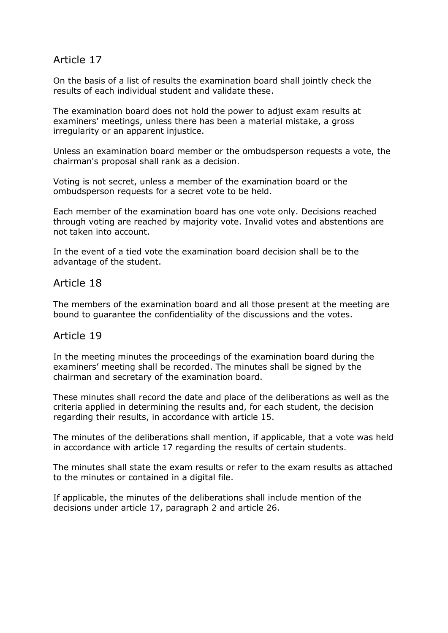On the basis of a list of results the examination board shall jointly check the results of each individual student and validate these.

The examination board does not hold the power to adjust exam results at examiners' meetings, unless there has been a material mistake, a gross irregularity or an apparent injustice.

Unless an examination board member or the ombudsperson requests a vote, the chairman's proposal shall rank as a decision.

Voting is not secret, unless a member of the examination board or the ombudsperson requests for a secret vote to be held.

Each member of the examination board has one vote only. Decisions reached through voting are reached by majority vote. Invalid votes and abstentions are not taken into account.

In the event of a tied vote the examination board decision shall be to the advantage of the student.

## Article 18

The members of the examination board and all those present at the meeting are bound to guarantee the confidentiality of the discussions and the votes.

## Article 19

In the meeting minutes the proceedings of the examination board during the examiners' meeting shall be recorded. The minutes shall be signed by the chairman and secretary of the examination board.

These minutes shall record the date and place of the deliberations as well as the criteria applied in determining the results and, for each student, the decision regarding their results, in accordance with article 15.

The minutes of the deliberations shall mention, if applicable, that a vote was held in accordance with article 17 regarding the results of certain students.

The minutes shall state the exam results or refer to the exam results as attached to the minutes or contained in a digital file.

If applicable, the minutes of the deliberations shall include mention of the decisions under article 17, paragraph 2 and article 26.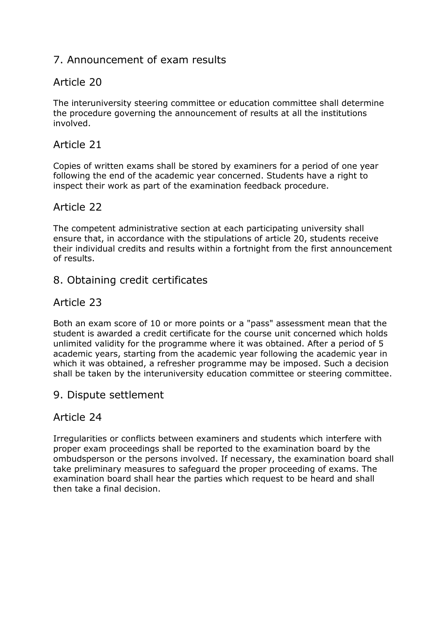# 7. Announcement of exam results

# Article 20

The interuniversity steering committee or education committee shall determine the procedure governing the announcement of results at all the institutions involved.

# Article 21

Copies of written exams shall be stored by examiners for a period of one year following the end of the academic year concerned. Students have a right to inspect their work as part of the examination feedback procedure.

# Article 22

The competent administrative section at each participating university shall ensure that, in accordance with the stipulations of article 20, students receive their individual credits and results within a fortnight from the first announcement of results.

# 8. Obtaining credit certificates

# Article 23

Both an exam score of 10 or more points or a "pass" assessment mean that the student is awarded a credit certificate for the course unit concerned which holds unlimited validity for the programme where it was obtained. After a period of 5 academic years, starting from the academic year following the academic year in which it was obtained, a refresher programme may be imposed. Such a decision shall be taken by the interuniversity education committee or steering committee.

## 9. Dispute settlement

# Article 24

Irregularities or conflicts between examiners and students which interfere with proper exam proceedings shall be reported to the examination board by the ombudsperson or the persons involved. If necessary, the examination board shall take preliminary measures to safeguard the proper proceeding of exams. The examination board shall hear the parties which request to be heard and shall then take a final decision.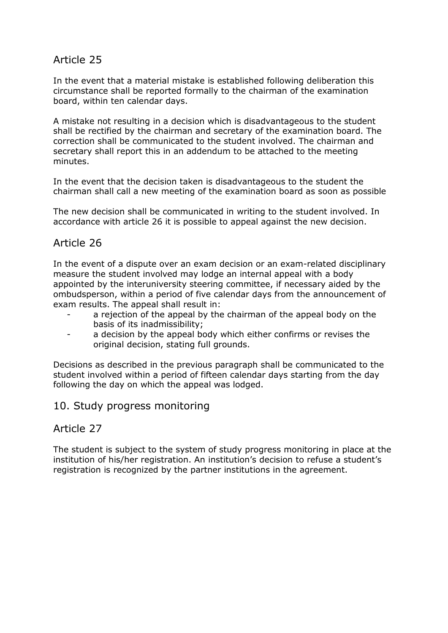In the event that a material mistake is established following deliberation this circumstance shall be reported formally to the chairman of the examination board, within ten calendar days.

A mistake not resulting in a decision which is disadvantageous to the student shall be rectified by the chairman and secretary of the examination board. The correction shall be communicated to the student involved. The chairman and secretary shall report this in an addendum to be attached to the meeting minutes.

In the event that the decision taken is disadvantageous to the student the chairman shall call a new meeting of the examination board as soon as possible

The new decision shall be communicated in writing to the student involved. In accordance with article 26 it is possible to appeal against the new decision.

# Article 26

In the event of a dispute over an exam decision or an exam-related disciplinary measure the student involved may lodge an internal appeal with a body appointed by the interuniversity steering committee, if necessary aided by the ombudsperson, within a period of five calendar days from the announcement of exam results. The appeal shall result in:

- a rejection of the appeal by the chairman of the appeal body on the basis of its inadmissibility;
- a decision by the appeal body which either confirms or revises the original decision, stating full grounds.

Decisions as described in the previous paragraph shall be communicated to the student involved within a period of fifteen calendar days starting from the day following the day on which the appeal was lodged.

## 10. Study progress monitoring

## Article 27

The student is subject to the system of study progress monitoring in place at the institution of his/her registration. An institution's decision to refuse a student's registration is recognized by the partner institutions in the agreement.